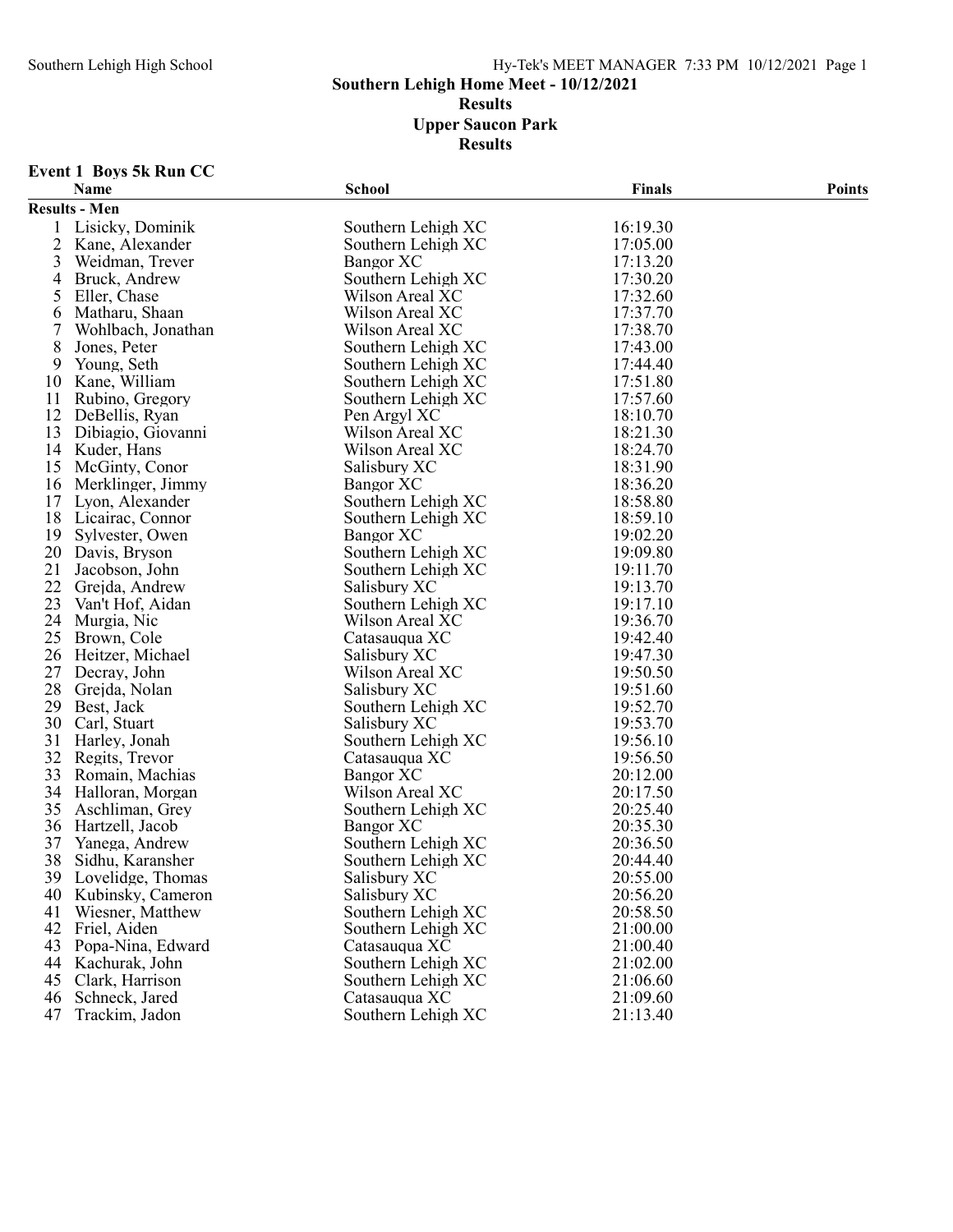# Southern Lehigh High School Hy-Tek's MEET MANAGER 7:33 PM 10/12/2021 Page 1

# Southern Lehigh Home Meet - 10/12/2021

Results

Upper Saucon Park

Results

# Event 1 Boys 5k Run CC

|                | <b>Name</b>          | <b>School</b>      | <b>Finals</b> | <b>Points</b> |
|----------------|----------------------|--------------------|---------------|---------------|
|                | <b>Results - Men</b> |                    |               |               |
|                | Lisicky, Dominik     | Southern Lehigh XC | 16:19.30      |               |
| $\overline{2}$ | Kane, Alexander      | Southern Lehigh XC | 17:05.00      |               |
| 3              | Weidman, Trever      | Bangor XC          | 17:13.20      |               |
| 4              | Bruck, Andrew        | Southern Lehigh XC | 17:30.20      |               |
| 5              | Eller, Chase         | Wilson Areal XC    | 17:32.60      |               |
| 6              | Matharu, Shaan       | Wilson Areal XC    | 17:37.70      |               |
| 7              | Wohlbach, Jonathan   | Wilson Areal XC    | 17:38.70      |               |
| 8              | Jones, Peter         | Southern Lehigh XC | 17:43.00      |               |
| 9              | Young, Seth          | Southern Lehigh XC | 17:44.40      |               |
| 10             | Kane, William        | Southern Lehigh XC | 17:51.80      |               |
| 11             | Rubino, Gregory      | Southern Lehigh XC | 17:57.60      |               |
| 12             | DeBellis, Ryan       | Pen Argyl XC       | 18:10.70      |               |
| 13             | Dibiagio, Giovanni   | Wilson Areal XC    | 18:21.30      |               |
| 14             | Kuder, Hans          | Wilson Areal XC    | 18:24.70      |               |
| 15             | McGinty, Conor       | Salisbury XC       | 18:31.90      |               |
| 16             | Merklinger, Jimmy    | <b>Bangor XC</b>   | 18:36.20      |               |
| 17             | Lyon, Alexander      | Southern Lehigh XC | 18:58.80      |               |
| 18             | Licairac, Connor     | Southern Lehigh XC | 18:59.10      |               |
| 19             | Sylvester, Owen      | Bangor XC          | 19:02.20      |               |
| 20             | Davis, Bryson        | Southern Lehigh XC | 19:09.80      |               |
| 21             | Jacobson, John       | Southern Lehigh XC | 19:11.70      |               |
| 22             | Grejda, Andrew       | Salisbury XC       | 19:13.70      |               |
| 23             | Van't Hof, Aidan     | Southern Lehigh XC | 19:17.10      |               |
| 24             | Murgia, Nic          | Wilson Areal XC    | 19:36.70      |               |
| 25             | Brown, Cole          | Catasauqua XC      | 19:42.40      |               |
| 26             | Heitzer, Michael     | Salisbury XC       | 19:47.30      |               |
| 27             | Decray, John         | Wilson Areal XC    | 19:50.50      |               |
| 28             | Grejda, Nolan        | Salisbury XC       | 19:51.60      |               |
| 29             | Best, Jack           | Southern Lehigh XC | 19:52.70      |               |
| 30             | Carl, Stuart         | Salisbury XC       | 19:53.70      |               |
| 31             | Harley, Jonah        | Southern Lehigh XC | 19:56.10      |               |
| 32             | Regits, Trevor       | Catasauqua XC      | 19:56.50      |               |
| 33             | Romain, Machias      | Bangor XC          | 20:12.00      |               |
| 34             | Halloran, Morgan     | Wilson Areal XC    | 20:17.50      |               |
| 35             | Aschliman, Grey      | Southern Lehigh XC | 20:25.40      |               |
| 36             | Hartzell, Jacob      | Bangor XC          | 20:35.30      |               |
| 37             | Yanega, Andrew       | Southern Lehigh XC | 20:36.50      |               |
| 38             | Sidhu, Karansher     | Southern Lehigh XC | 20:44.40      |               |
|                | 39 Lovelidge, Thomas | Salisbury XC       | 20:55.00      |               |
| 40             | Kubinsky, Cameron    | Salisbury XC       | 20:56.20      |               |
| 41             | Wiesner, Matthew     | Southern Lehigh XC | 20:58.50      |               |
| 42             | Friel, Aiden         | Southern Lehigh XC | 21:00.00      |               |
| 43             | Popa-Nina, Edward    | Catasauqua XC      | 21:00.40      |               |
| 44             | Kachurak, John       | Southern Lehigh XC | 21:02.00      |               |
| 45             | Clark, Harrison      | Southern Lehigh XC | 21:06.60      |               |
| 46             | Schneck, Jared       | Catasauqua XC      | 21:09.60      |               |
| 47             | Trackim, Jadon       | Southern Lehigh XC | 21:13.40      |               |